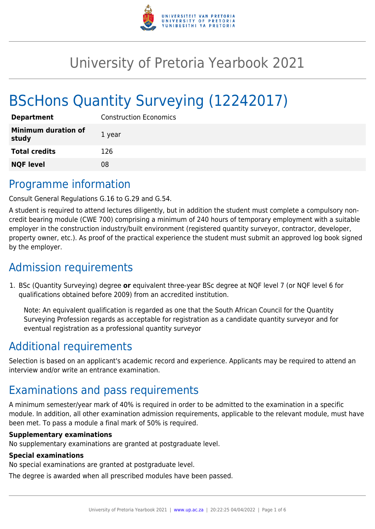

# University of Pretoria Yearbook 2021

# BScHons Quantity Surveying (12242017)

| <b>Department</b>                   | <b>Construction Economics</b> |
|-------------------------------------|-------------------------------|
| <b>Minimum duration of</b><br>study | 1 year                        |
| <b>Total credits</b>                | 126                           |
| <b>NQF level</b>                    | 08                            |

# Programme information

Consult General Regulations G.16 to G.29 and G.54.

A student is required to attend lectures diligently, but in addition the student must complete a compulsory noncredit bearing module (CWE 700) comprising a minimum of 240 hours of temporary employment with a suitable employer in the construction industry/built environment (registered quantity surveyor, contractor, developer, property owner, etc.). As proof of the practical experience the student must submit an approved log book signed by the employer.

# Admission requirements

1. BSc (Quantity Surveying) degree **or** equivalent three-year BSc degree at NQF level 7 (or NQF level 6 for qualifications obtained before 2009) from an accredited institution.

Note: An equivalent qualification is regarded as one that the South African Council for the Quantity Surveying Profession regards as acceptable for registration as a candidate quantity surveyor and for eventual registration as a professional quantity surveyor

# Additional requirements

Selection is based on an applicant's academic record and experience. Applicants may be required to attend an interview and/or write an entrance examination.

# Examinations and pass requirements

A minimum semester/year mark of 40% is required in order to be admitted to the examination in a specific module. In addition, all other examination admission requirements, applicable to the relevant module, must have been met. To pass a module a final mark of 50% is required.

#### **Supplementary examinations**

No supplementary examinations are granted at postgraduate level.

#### **Special examinations**

No special examinations are granted at postgraduate level.

The degree is awarded when all prescribed modules have been passed.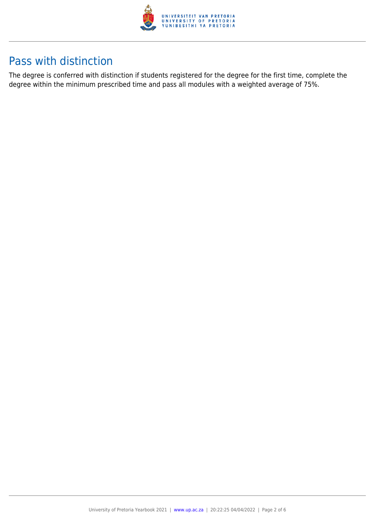

# Pass with distinction

The degree is conferred with distinction if students registered for the degree for the first time, complete the degree within the minimum prescribed time and pass all modules with a weighted average of 75%.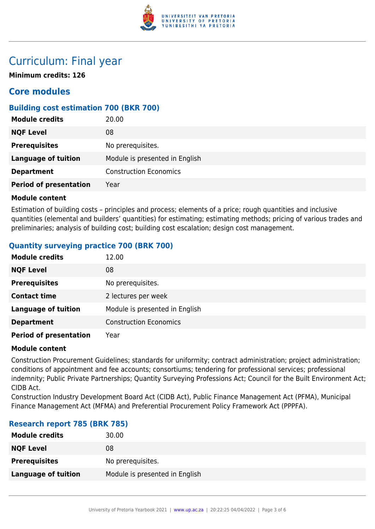

# Curriculum: Final year

**Minimum credits: 126**

# **Core modules**

## **Building cost estimation 700 (BKR 700)**

| <b>Module credits</b>         | 20.00                          |
|-------------------------------|--------------------------------|
| <b>NQF Level</b>              | 08                             |
| <b>Prerequisites</b>          | No prerequisites.              |
| <b>Language of tuition</b>    | Module is presented in English |
| <b>Department</b>             | <b>Construction Economics</b>  |
| <b>Period of presentation</b> | Year                           |

## **Module content**

Estimation of building costs – principles and process; elements of a price; rough quantities and inclusive quantities (elemental and builders' quantities) for estimating; estimating methods; pricing of various trades and preliminaries; analysis of building cost; building cost escalation; design cost management.

# **Quantity surveying practice 700 (BRK 700)**

| <b>Module credits</b>         | 12.00                          |
|-------------------------------|--------------------------------|
| <b>NQF Level</b>              | 08                             |
| <b>Prerequisites</b>          | No prerequisites.              |
| <b>Contact time</b>           | 2 lectures per week            |
| <b>Language of tuition</b>    | Module is presented in English |
| <b>Department</b>             | <b>Construction Economics</b>  |
| <b>Period of presentation</b> | Year                           |

#### **Module content**

Construction Procurement Guidelines; standards for uniformity; contract administration; project administration; conditions of appointment and fee accounts; consortiums; tendering for professional services; professional indemnity; Public Private Partnerships; Quantity Surveying Professions Act; Council for the Built Environment Act; CIDB Act.

Construction Industry Development Board Act (CIDB Act), Public Finance Management Act (PFMA), Municipal Finance Management Act (MFMA) and Preferential Procurement Policy Framework Act (PPPFA).

## **Research report 785 (BRK 785)**

| <b>Module credits</b> | 30.00                          |
|-----------------------|--------------------------------|
| <b>NQF Level</b>      | 08                             |
| <b>Prerequisites</b>  | No prerequisites.              |
| Language of tuition   | Module is presented in English |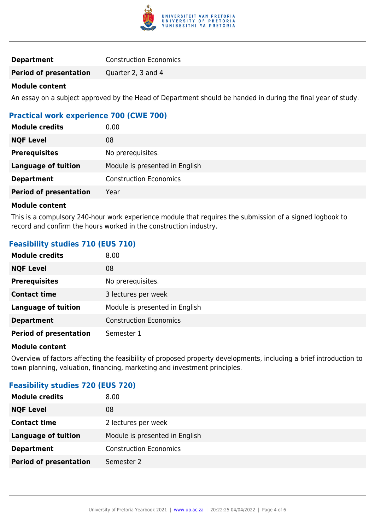

| <b>Construction Economics</b> |
|-------------------------------|
|                               |

**Period of presentation** Quarter 2, 3 and 4

#### **Module content**

An essay on a subject approved by the Head of Department should be handed in during the final year of study.

# **Practical work experience 700 (CWE 700)**

| <b>Module credits</b>         | 0.00                           |
|-------------------------------|--------------------------------|
| <b>NQF Level</b>              | 08                             |
| <b>Prerequisites</b>          | No prerequisites.              |
| <b>Language of tuition</b>    | Module is presented in English |
| <b>Department</b>             | <b>Construction Economics</b>  |
| <b>Period of presentation</b> | Year                           |
|                               |                                |

#### **Module content**

This is a compulsory 240-hour work experience module that requires the submission of a signed logbook to record and confirm the hours worked in the construction industry.

## **Feasibility studies 710 (EUS 710)**

| <b>Module credits</b>         | 8.00                           |
|-------------------------------|--------------------------------|
| <b>NQF Level</b>              | 08                             |
| <b>Prerequisites</b>          | No prerequisites.              |
| <b>Contact time</b>           | 3 lectures per week            |
| <b>Language of tuition</b>    | Module is presented in English |
| <b>Department</b>             | <b>Construction Economics</b>  |
| <b>Period of presentation</b> | Semester 1                     |

#### **Module content**

Overview of factors affecting the feasibility of proposed property developments, including a brief introduction to town planning, valuation, financing, marketing and investment principles.

## **Feasibility studies 720 (EUS 720)**

| 8.00                           |
|--------------------------------|
| 08                             |
| 2 lectures per week            |
| Module is presented in English |
| <b>Construction Economics</b>  |
| Semester 2                     |
|                                |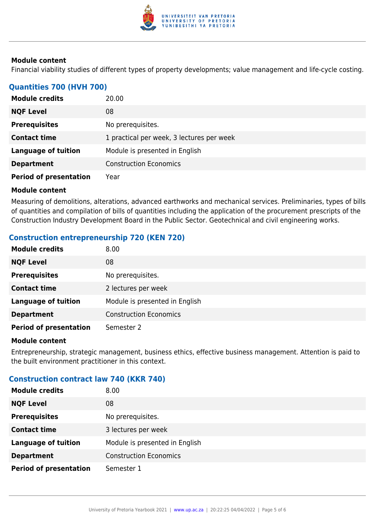

#### **Module content**

Financial viability studies of different types of property developments; value management and life-cycle costing.

### **Quantities 700 (HVH 700)**

| <b>Module credits</b>         | 20.00                                     |
|-------------------------------|-------------------------------------------|
| <b>NQF Level</b>              | 08                                        |
| <b>Prerequisites</b>          | No prerequisites.                         |
| <b>Contact time</b>           | 1 practical per week, 3 lectures per week |
| <b>Language of tuition</b>    | Module is presented in English            |
| <b>Department</b>             | <b>Construction Economics</b>             |
| <b>Period of presentation</b> | Year                                      |

#### **Module content**

Measuring of demolitions, alterations, advanced earthworks and mechanical services. Preliminaries, types of bills of quantities and compilation of bills of quantities including the application of the procurement prescripts of the Construction Industry Development Board in the Public Sector. Geotechnical and civil engineering works.

## **Construction entrepreneurship 720 (KEN 720)**

| <b>Module credits</b>         | 8.00                           |
|-------------------------------|--------------------------------|
| <b>NQF Level</b>              | 08                             |
| <b>Prerequisites</b>          | No prerequisites.              |
| <b>Contact time</b>           | 2 lectures per week            |
| <b>Language of tuition</b>    | Module is presented in English |
| <b>Department</b>             | <b>Construction Economics</b>  |
| <b>Period of presentation</b> | Semester 2                     |

#### **Module content**

Entrepreneurship, strategic management, business ethics, effective business management. Attention is paid to the built environment practitioner in this context.

## **Construction contract law 740 (KKR 740)**

| <b>Module credits</b>         | 8.00                           |
|-------------------------------|--------------------------------|
| <b>NQF Level</b>              | 08                             |
| <b>Prerequisites</b>          | No prerequisites.              |
| <b>Contact time</b>           | 3 lectures per week            |
| <b>Language of tuition</b>    | Module is presented in English |
| <b>Department</b>             | <b>Construction Economics</b>  |
| <b>Period of presentation</b> | Semester 1                     |